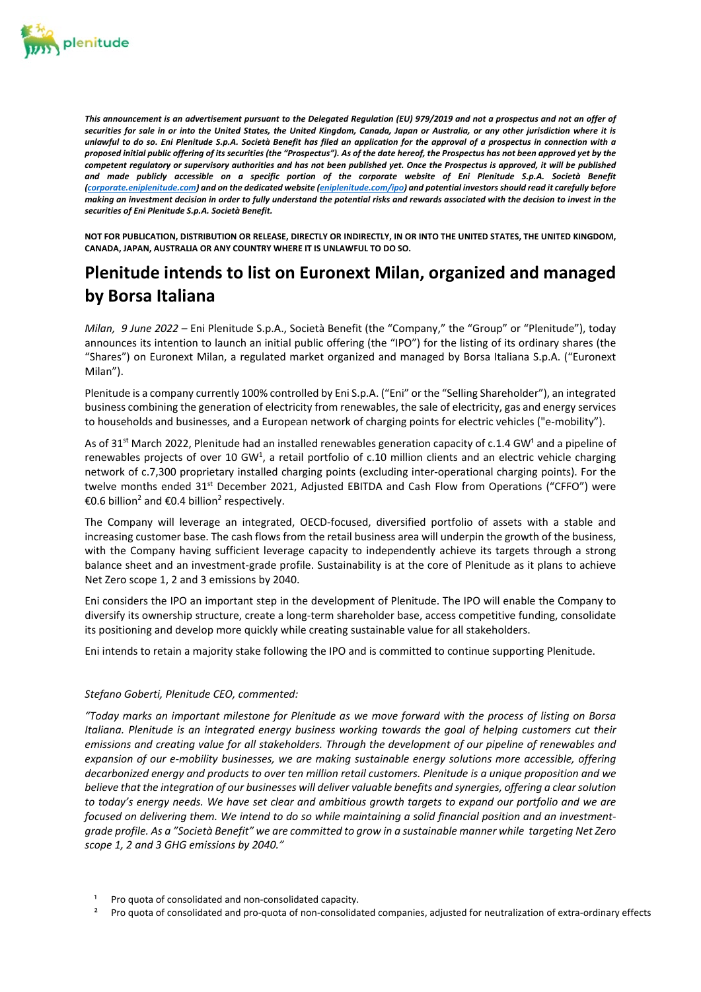

*This announcement is an advertisement pursuant to the Delegated Regulation (EU) 979/2019 and not a prospectus and not an offer of securities for sale in or into the United States, the United Kingdom, Canada, Japan or Australia, or any other jurisdiction where it is unlawful to do so. Eni Plenitude S.p.A. Società Benefit has filed an application for the approval of a prospectus in connection with a proposed initial public offering of its securities (the "Prospectus"). As of the date hereof, the Prospectus has not been approved yet by the*  competent regulatory or supervisory authorities and has not been published yet. Once the Prospectus is approved, it will be published and made publicly accessible on a specific portion of the corporate website of Eni Plenitude S.p.A. Società Benefit *[\(corporate.eniplenitude.com\)](http://www.eniplenitude.com/) and on the dedicated website [\(eniplenitude.com/ipo\)](http://www.eniplenitude.com/ipo) and potential investors should read it carefully before making an investment decision in order to fully understand the potential risks and rewards associated with the decision to invest in the securities of Eni Plenitude S.p.A. Società Benefit.*

**NOT FOR PUBLICATION, DISTRIBUTION OR RELEASE, DIRECTLY OR INDIRECTLY, IN OR INTO THE UNITED STATES, THE UNITED KINGDOM, CANADA, JAPAN, AUSTRALIA OR ANY COUNTRY WHERE IT IS UNLAWFUL TO DO SO.**

# **Plenitude intends to list on Euronext Milan, organized and managed by Borsa Italiana**

*Milan, 9 June 2022 –* Eni Plenitude S.p.A., Società Benefit (the "Company," the "Group" or "Plenitude"), today announces its intention to launch an initial public offering (the "IPO") for the listing of its ordinary shares (the "Shares") on Euronext Milan, a regulated market organized and managed by Borsa Italiana S.p.A. ("Euronext Milan").

Plenitude is a company currently 100% controlled by Eni S.p.A. ("Eni" or the "Selling Shareholder"), an integrated business combining the generation of electricity from renewables, the sale of electricity, gas and energy services to households and businesses, and a European network of charging points for electric vehicles ("e-mobility").

As of 31<sup>st</sup> March 2022, Plenitude had an installed renewables generation capacity of c.1.4 GW<sup>1</sup> and a pipeline of renewables projects of over 10 GW<sup>1</sup>, a retail portfolio of c.10 million clients and an electric vehicle charging network of c.7,300 proprietary installed charging points (excluding inter-operational charging points). For the twelve months ended 31<sup>st</sup> December 2021, Adjusted EBITDA and Cash Flow from Operations ("CFFO") were €0.6 billion<sup>2</sup> and €0.4 billion<sup>2</sup> respectively.

The Company will leverage an integrated, OECD-focused, diversified portfolio of assets with a stable and increasing customer base. The cash flows from the retail business area will underpin the growth of the business, with the Company having sufficient leverage capacity to independently achieve its targets through a strong balance sheet and an investment-grade profile. Sustainability is at the core of Plenitude as it plans to achieve Net Zero scope 1, 2 and 3 emissions by 2040.

Eni considers the IPO an important step in the development of Plenitude. The IPO will enable the Company to diversify its ownership structure, create a long-term shareholder base, access competitive funding, consolidate its positioning and develop more quickly while creating sustainable value for all stakeholders.

Eni intends to retain a majority stake following the IPO and is committed to continue supporting Plenitude.

#### *Stefano Goberti, Plenitude CEO, commented:*

*"Today marks an important milestone for Plenitude as we move forward with the process of listing on Borsa Italiana. Plenitude is an integrated energy business working towards the goal of helping customers cut their emissions and creating value for all stakeholders. Through the development of our pipeline of renewables and expansion of our e-mobility businesses, we are making sustainable energy solutions more accessible, offering decarbonized energy and products to over ten million retail customers. Plenitude is a unique proposition and we believe that the integration of our businesses will deliver valuable benefits and synergies, offering a clear solution to today's energy needs. We have set clear and ambitious growth targets to expand our portfolio and we are focused on delivering them. We intend to do so while maintaining a solid financial position and an investmentgrade profile. As a "Società Benefit" we are committed to grow in a sustainable manner while targeting Net Zero scope 1, 2 and 3 GHG emissions by 2040."*

- Pro quota of consolidated and non-consolidated capacity.
- <sup>2</sup> Pro quota of consolidated and pro-quota of non-consolidated companies, adjusted for neutralization of extra-ordinary effects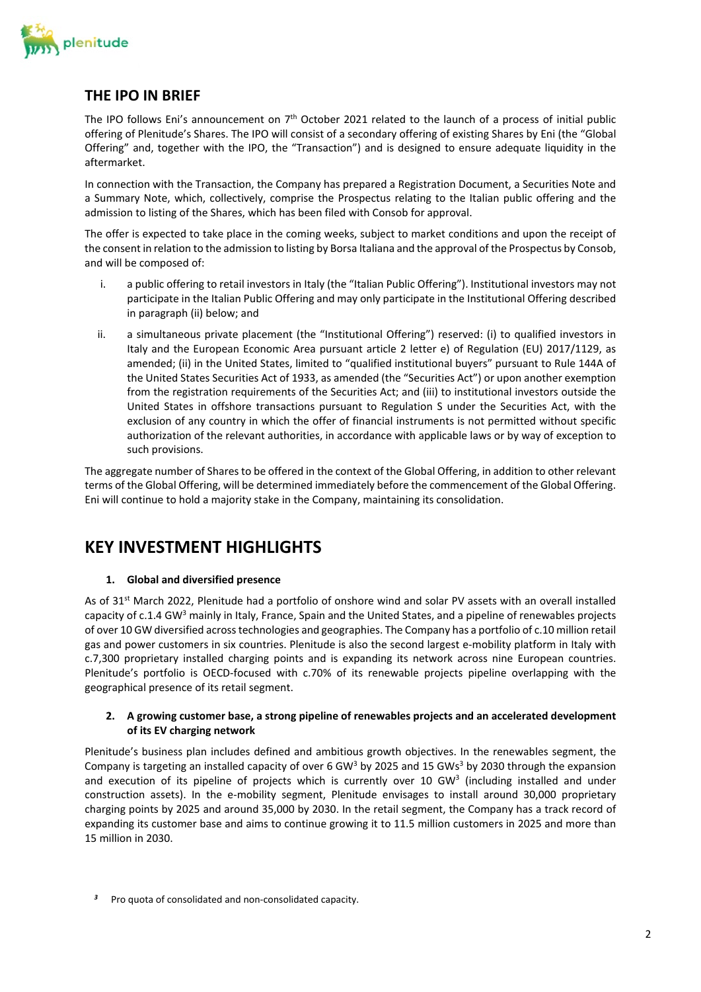

## **THE IPO IN BRIEF**

The IPO follows Eni's announcement on 7<sup>th</sup> October 2021 related to the launch of a process of initial public offering of Plenitude's Shares. The IPO will consist of a secondary offering of existing Shares by Eni (the "Global Offering" and, together with the IPO, the "Transaction") and is designed to ensure adequate liquidity in the aftermarket.

In connection with the Transaction, the Company has prepared a Registration Document, a Securities Note and a Summary Note, which, collectively, comprise the Prospectus relating to the Italian public offering and the admission to listing of the Shares, which has been filed with Consob for approval.

The offer is expected to take place in the coming weeks, subject to market conditions and upon the receipt of the consent in relation to the admission to listing by Borsa Italiana and the approval of the Prospectus by Consob, and will be composed of:

- i. a public offering to retail investors in Italy (the "Italian Public Offering"). Institutional investors may not participate in the Italian Public Offering and may only participate in the Institutional Offering described in paragraph (ii) below; and
- ii. a simultaneous private placement (the "Institutional Offering") reserved: (i) to qualified investors in Italy and the European Economic Area pursuant article 2 letter e) of Regulation (EU) 2017/1129, as amended; (ii) in the United States, limited to "qualified institutional buyers" pursuant to Rule 144A of the United States Securities Act of 1933, as amended (the "Securities Act") or upon another exemption from the registration requirements of the Securities Act; and (iii) to institutional investors outside the United States in offshore transactions pursuant to Regulation S under the Securities Act, with the exclusion of any country in which the offer of financial instruments is not permitted without specific authorization of the relevant authorities, in accordance with applicable laws or by way of exception to such provisions.

The aggregate number of Shares to be offered in the context of the Global Offering, in addition to other relevant terms of the Global Offering, will be determined immediately before the commencement of the Global Offering. Eni will continue to hold a majority stake in the Company, maintaining its consolidation.

# **KEY INVESTMENT HIGHLIGHTS**

#### **1. Global and diversified presence**

As of 31st March 2022, Plenitude had a portfolio of onshore wind and solar PV assets with an overall installed capacity of c.1.4 GW<sup>3</sup> mainly in Italy, France, Spain and the United States, and a pipeline of renewables projects of over 10 GW diversified across technologies and geographies. The Company has a portfolio of c.10 million retail gas and power customers in six countries. Plenitude is also the second largest e-mobility platform in Italy with c.7,300 proprietary installed charging points and is expanding its network across nine European countries. Plenitude's portfolio is OECD-focused with c.70% of its renewable projects pipeline overlapping with the geographical presence of its retail segment.

#### **2. A growing customer base, a strong pipeline of renewables projects and an accelerated development of its EV charging network**

Plenitude's business plan includes defined and ambitious growth objectives. In the renewables segment, the Company is targeting an installed capacity of over 6 GW<sup>3</sup> by 2025 and 15 GWs<sup>3</sup> by 2030 through the expansion and execution of its pipeline of projects which is currently over 10 GW<sup>3</sup> (including installed and under construction assets). In the e-mobility segment, Plenitude envisages to install around 30,000 proprietary charging points by 2025 and around 35,000 by 2030. In the retail segment, the Company has a track record of expanding its customer base and aims to continue growing it to 11.5 million customers in 2025 and more than 15 million in 2030.

*<sup>3</sup>* Pro quota of consolidated and non-consolidated capacity.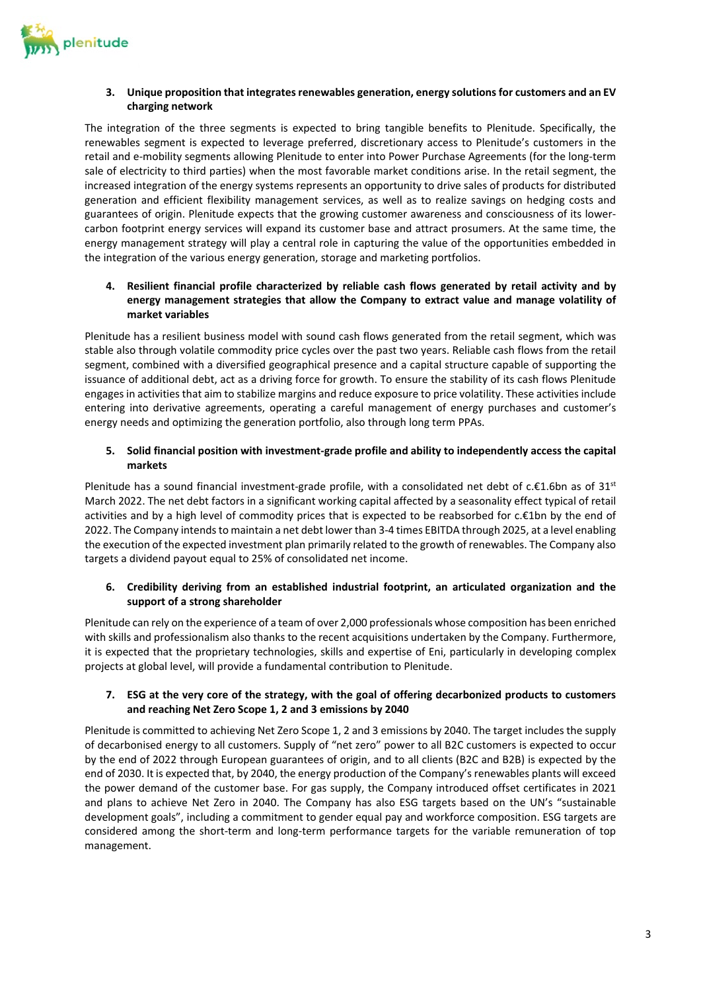

#### **3. Unique proposition that integrates renewables generation, energy solutions for customers and an EV charging network**

The integration of the three segments is expected to bring tangible benefits to Plenitude. Specifically, the renewables segment is expected to leverage preferred, discretionary access to Plenitude's customers in the retail and e-mobility segments allowing Plenitude to enter into Power Purchase Agreements (for the long-term sale of electricity to third parties) when the most favorable market conditions arise. In the retail segment, the increased integration of the energy systems represents an opportunity to drive sales of products for distributed generation and efficient flexibility management services, as well as to realize savings on hedging costs and guarantees of origin. Plenitude expects that the growing customer awareness and consciousness of its lowercarbon footprint energy services will expand its customer base and attract prosumers. At the same time, the energy management strategy will play a central role in capturing the value of the opportunities embedded in the integration of the various energy generation, storage and marketing portfolios.

#### **4. Resilient financial profile characterized by reliable cash flows generated by retail activity and by energy management strategies that allow the Company to extract value and manage volatility of market variables**

Plenitude has a resilient business model with sound cash flows generated from the retail segment, which was stable also through volatile commodity price cycles over the past two years. Reliable cash flows from the retail segment, combined with a diversified geographical presence and a capital structure capable of supporting the issuance of additional debt, act as a driving force for growth. To ensure the stability of its cash flows Plenitude engages in activities that aim to stabilize margins and reduce exposure to price volatility. These activities include entering into derivative agreements, operating a careful management of energy purchases and customer's energy needs and optimizing the generation portfolio, also through long term PPAs.

#### **5. Solid financial position with investment-grade profile and ability to independently access the capital markets**

Plenitude has a sound financial investment-grade profile, with a consolidated net debt of c.€1.6bn as of 31<sup>st</sup> March 2022. The net debt factors in a significant working capital affected by a seasonality effect typical of retail activities and by a high level of commodity prices that is expected to be reabsorbed for c.€1bn by the end of 2022. The Company intends to maintain a net debt lower than 3-4 times EBITDA through 2025, at a level enabling the execution of the expected investment plan primarily related to the growth of renewables. The Company also targets a dividend payout equal to 25% of consolidated net income.

#### **6. Credibility deriving from an established industrial footprint, an articulated organization and the support of a strong shareholder**

Plenitude can rely on the experience of a team of over 2,000 professionals whose composition has been enriched with skills and professionalism also thanks to the recent acquisitions undertaken by the Company. Furthermore, it is expected that the proprietary technologies, skills and expertise of Eni, particularly in developing complex projects at global level, will provide a fundamental contribution to Plenitude.

#### **7. ESG at the very core of the strategy, with the goal of offering decarbonized products to customers and reaching Net Zero Scope 1, 2 and 3 emissions by 2040**

Plenitude is committed to achieving Net Zero Scope 1, 2 and 3 emissions by 2040. The target includes the supply of decarbonised energy to all customers. Supply of "net zero" power to all B2C customers is expected to occur by the end of 2022 through European guarantees of origin, and to all clients (B2C and B2B) is expected by the end of 2030. It is expected that, by 2040, the energy production of the Company's renewables plants will exceed the power demand of the customer base. For gas supply, the Company introduced offset certificates in 2021 and plans to achieve Net Zero in 2040. The Company has also ESG targets based on the UN's "sustainable development goals", including a commitment to gender equal pay and workforce composition. ESG targets are considered among the short-term and long-term performance targets for the variable remuneration of top management.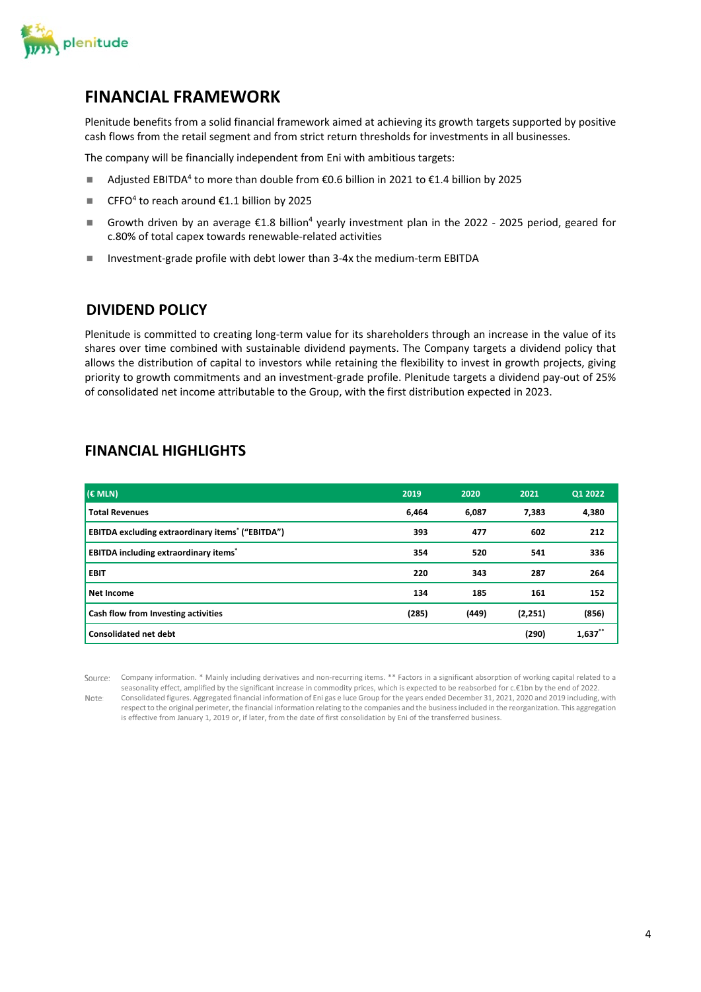

## **FINANCIAL FRAMEWORK**

Plenitude benefits from a solid financial framework aimed at achieving its growth targets supported by positive cash flows from the retail segment and from strict return thresholds for investments in all businesses.

The company will be financially independent from Eni with ambitious targets:

- Adjusted EBITDA<sup>4</sup> to more than double from €0.6 billion in 2021 to €1.4 billion by 2025
- CFFO<sup>4</sup> to reach around  $£1.1$  billion by 2025
- Growth driven by an average  $\epsilon$ 1.8 billion<sup>4</sup> yearly investment plan in the 2022 2025 period, geared for c.80% of total capex towards renewable-related activities
- $\blacksquare$  Investment-grade profile with debt lower than 3-4x the medium-term EBITDA

### **DIVIDEND POLICY**

Plenitude is committed to creating long-term value for its shareholders through an increase in the value of its shares over time combined with sustainable dividend payments. The Company targets a dividend policy that allows the distribution of capital to investors while retaining the flexibility to invest in growth projects, giving priority to growth commitments and an investment-grade profile. Plenitude targets a dividend pay-out of 25% of consolidated net income attributable to the Group, with the first distribution expected in 2023.

## **FINANCIAL HIGHLIGHTS**

| $(E$ MLN)                                                          | 2019  | 2020  | 2021     | Q1 2022    |
|--------------------------------------------------------------------|-------|-------|----------|------------|
| <b>Total Revenues</b>                                              | 6,464 | 6,087 | 7,383    | 4,380      |
| <b>EBITDA excluding extraordinary items<sup>*</sup> ("EBITDA")</b> | 393   | 477   | 602      | 212        |
| <b>EBITDA including extraordinary items<sup>*</sup></b>            | 354   | 520   | 541      | 336        |
| <b>EBIT</b>                                                        | 220   | 343   | 287      | 264        |
| <b>Net Income</b>                                                  | 134   | 185   | 161      | 152        |
| Cash flow from Investing activities                                | (285) | (449) | (2, 251) | (856)      |
| <b>Consolidated net debt</b>                                       |       |       | (290)    | $1,637$ ** |

Source: Company information. \* Mainly including derivatives and non-recurring items. \*\* Factors in a significant absorption of working capital related to a seasonality effect, amplified by the significant increase in commodity prices, which is expected to be reabsorbed for c.€1bn by the end of 2022. Note: Consolidated figures. Aggregated financial information of Eni gas e luce Group for the years ended December 31, 2021, 2020 and 2019 including, with respect to the original perimeter, the financial information relating to the companies and the business included in the reorganization. This aggregation is effective from January 1, 2019 or, if later, from the date of first consolidation by Eni of the transferred business.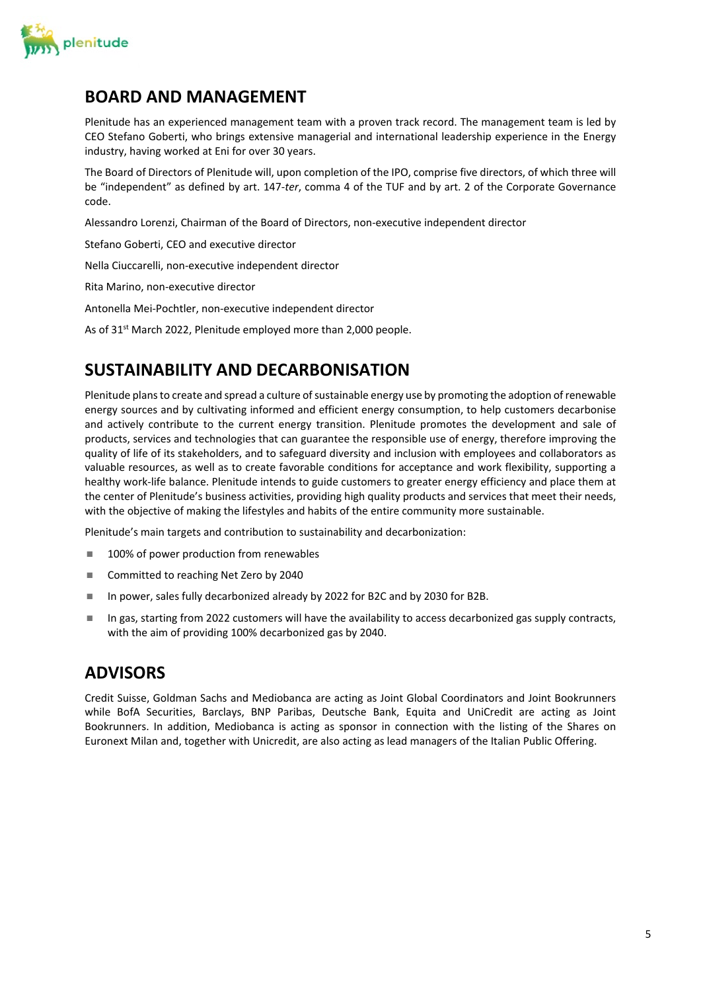

# **BOARD AND MANAGEMENT**

Plenitude has an experienced management team with a proven track record. The management team is led by CEO Stefano Goberti, who brings extensive managerial and international leadership experience in the Energy industry, having worked at Eni for over 30 years.

The Board of Directors of Plenitude will, upon completion of the IPO, comprise five directors, of which three will be "independent" as defined by art. 147-*ter*, comma 4 of the TUF and by art. 2 of the Corporate Governance code.

Alessandro Lorenzi, Chairman of the Board of Directors, non-executive independent director

Stefano Goberti, CEO and executive director

Nella Ciuccarelli, non-executive independent director

Rita Marino, non-executive director

Antonella Mei-Pochtler, non-executive independent director

As of 31<sup>st</sup> March 2022, Plenitude employed more than 2,000 people.

# **SUSTAINABILITY AND DECARBONISATION**

Plenitude plans to create and spread a culture of sustainable energy use by promoting the adoption of renewable energy sources and by cultivating informed and efficient energy consumption, to help customers decarbonise and actively contribute to the current energy transition. Plenitude promotes the development and sale of products, services and technologies that can guarantee the responsible use of energy, therefore improving the quality of life of its stakeholders, and to safeguard diversity and inclusion with employees and collaborators as valuable resources, as well as to create favorable conditions for acceptance and work flexibility, supporting a healthy work-life balance. Plenitude intends to guide customers to greater energy efficiency and place them at the center of Plenitude's business activities, providing high quality products and services that meet their needs, with the objective of making the lifestyles and habits of the entire community more sustainable.

Plenitude's main targets and contribution to sustainability and decarbonization:

- 100% of power production from renewables
- Committed to reaching Net Zero by 2040
- In power, sales fully decarbonized already by 2022 for B2C and by 2030 for B2B.
- In gas, starting from 2022 customers will have the availability to access decarbonized gas supply contracts, with the aim of providing 100% decarbonized gas by 2040.

## **ADVISORS**

Credit Suisse, Goldman Sachs and Mediobanca are acting as Joint Global Coordinators and Joint Bookrunners while BofA Securities, Barclays, BNP Paribas, Deutsche Bank, Equita and UniCredit are acting as Joint Bookrunners. In addition, Mediobanca is acting as sponsor in connection with the listing of the Shares on Euronext Milan and, together with Unicredit, are also acting as lead managers of the Italian Public Offering.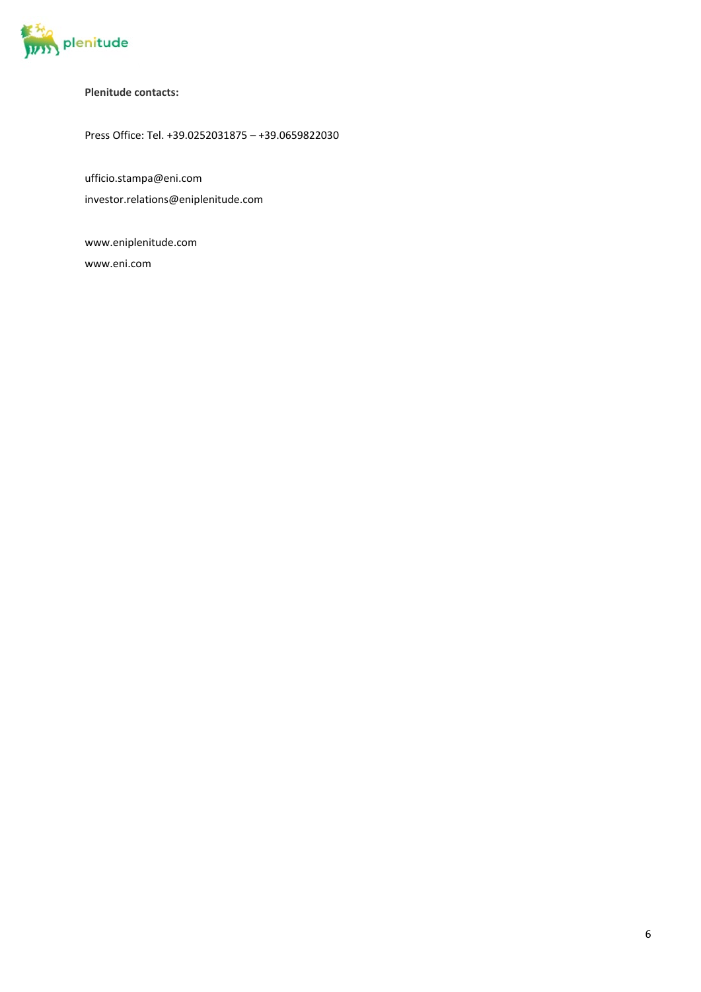

#### **Plenitude contacts:**

Press Office: Tel. +39.0252031875 – +39.0659822030

ufficio.stampa@eni.com investor.relations@eniplenitude.com

www.eniplenitude.com www.eni.com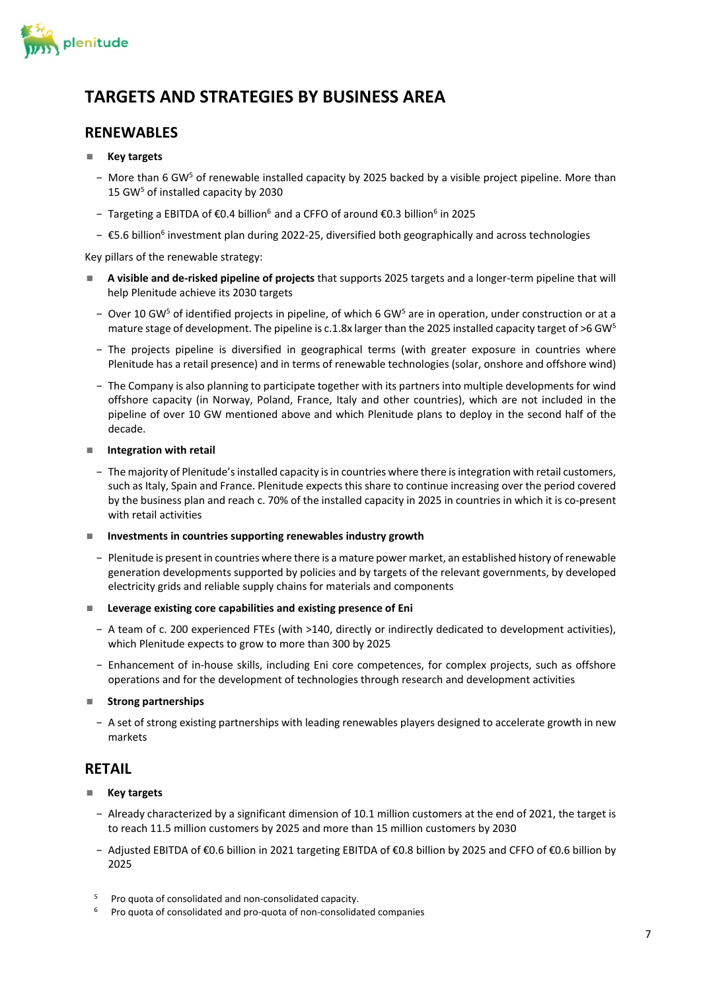

# **TARGETS AND STRATEGIES BY BUSINESS AREA**

## **RENEWABLES**

#### **Key targets**

- − More than 6 GW<sup>5</sup> of renewable installed capacity by 2025 backed by a visible project pipeline. More than 15 GW5 of installed capacity by 2030
- − Targeting a EBITDA of €0.4 billion6 and a CFFO of around €0.3 billion6 in 2025
- − €5.6 billion6 investment plan during 2022-25, diversified both geographically and across technologies

Key pillars of the renewable strategy:

- **A visible and de-risked pipeline of projects** that supports 2025 targets and a longer-term pipeline that will help Plenitude achieve its 2030 targets
	- − Over 10 GW<sup>5</sup> of identified projects in pipeline, of which 6 GW<sup>5</sup> are in operation, under construction or at a mature stage of development. The pipeline is c.1.8x larger than the 2025 installed capacity target of >6 GW<sup>5</sup>
	- − The projects pipeline is diversified in geographical terms (with greater exposure in countries where Plenitude has a retail presence) and in terms of renewable technologies (solar, onshore and offshore wind)
	- − The Company is also planning to participate together with its partners into multiple developments for wind offshore capacity (in Norway, Poland, France, Italy and other countries), which are not included in the pipeline of over 10 GW mentioned above and which Plenitude plans to deploy in the second half of the decade.

#### **Integration with retail**

− The majority of Plenitude'sinstalled capacity is in countries where there is integration with retail customers, such as Italy, Spain and France. Plenitude expects this share to continue increasing over the period covered by the business plan and reach c. 70% of the installed capacity in 2025 in countries in which it is co-present with retail activities

#### **Investments in countries supporting renewables industry growth**

- − Plenitude is present in countries where there is a mature power market, an established history of renewable generation developments supported by policies and by targets of the relevant governments, by developed electricity grids and reliable supply chains for materials and components
- **Leverage existing core capabilities and existing presence of Eni**
	- − A team of c. 200 experienced FTEs (with >140, directly or indirectly dedicated to development activities), which Plenitude expects to grow to more than 300 by 2025
	- − Enhancement of in-house skills, including Eni core competences, for complex projects, such as offshore operations and for the development of technologies through research and development activities

#### **Strong partnerships**

− A set of strong existing partnerships with leading renewables players designed to accelerate growth in new markets

## **RETAIL**

- **Key targets**
	- − Already characterized by a significant dimension of 10.1 million customers at the end of 2021, the target is to reach 11.5 million customers by 2025 and more than 15 million customers by 2030
	- − Adjusted EBITDA of €0.6 billion in 2021 targeting EBITDA of €0.8 billion by 2025 and CFFO of €0.6 billion by 2025
- <sup>5</sup> Pro quota of consolidated and non-consolidated capacity.
- <sup>6</sup> Pro quota of consolidated and pro-quota of non-consolidated companies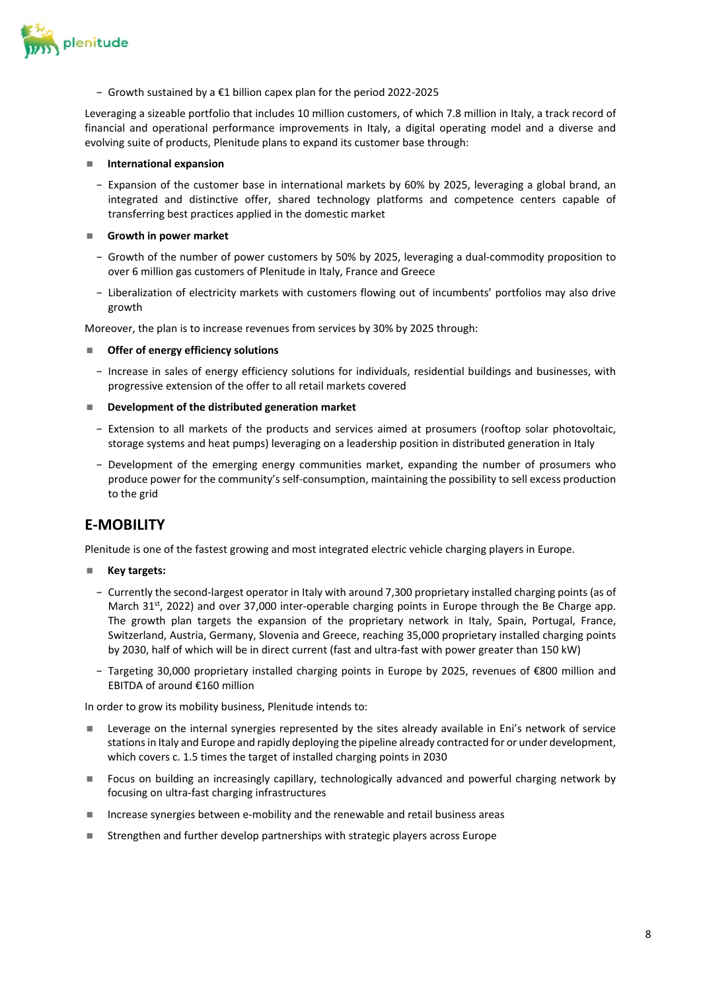

− Growth sustained by a €1 billion capex plan for the period 2022-2025

Leveraging a sizeable portfolio that includes 10 million customers, of which 7.8 million in Italy, a track record of financial and operational performance improvements in Italy, a digital operating model and a diverse and evolving suite of products, Plenitude plans to expand its customer base through:

#### **International expansion**

- − Expansion of the customer base in international markets by 60% by 2025, leveraging a global brand, an integrated and distinctive offer, shared technology platforms and competence centers capable of transferring best practices applied in the domestic market
- **Growth in power market**
	- − Growth of the number of power customers by 50% by 2025, leveraging a dual-commodity proposition to over 6 million gas customers of Plenitude in Italy, France and Greece
	- − Liberalization of electricity markets with customers flowing out of incumbents' portfolios may also drive growth

Moreover, the plan is to increase revenues from services by 30% by 2025 through:

#### **Offer of energy efficiency solutions**

− Increase in sales of energy efficiency solutions for individuals, residential buildings and businesses, with progressive extension of the offer to all retail markets covered

#### **Development of the distributed generation market**

- − Extension to all markets of the products and services aimed at prosumers (rooftop solar photovoltaic, storage systems and heat pumps) leveraging on a leadership position in distributed generation in Italy
- − Development of the emerging energy communities market, expanding the number of prosumers who produce power for the community's self-consumption, maintaining the possibility to sell excess production to the grid

### **E-MOBILITY**

Plenitude is one of the fastest growing and most integrated electric vehicle charging players in Europe.

- **Key targets:**
	- − Currently the second-largest operator in Italy with around 7,300 proprietary installed charging points (as of March 31<sup>st</sup>, 2022) and over 37,000 inter-operable charging points in Europe through the Be Charge app. The growth plan targets the expansion of the proprietary network in Italy, Spain, Portugal, France, Switzerland, Austria, Germany, Slovenia and Greece, reaching 35,000 proprietary installed charging points by 2030, half of which will be in direct current (fast and ultra-fast with power greater than 150 kW)
	- − Targeting 30,000 proprietary installed charging points in Europe by 2025, revenues of €800 million and EBITDA of around €160 million

In order to grow its mobility business, Plenitude intends to:

- **Leverage on the internal synergies represented by the sites already available in Eni's network of service** stations in Italy and Europe and rapidly deploying the pipeline already contracted for or under development, which covers c. 1.5 times the target of installed charging points in 2030
- **F** Focus on building an increasingly capillary, technologically advanced and powerful charging network by focusing on ultra-fast charging infrastructures
- Increase synergies between e-mobility and the renewable and retail business areas
- Strengthen and further develop partnerships with strategic players across Europe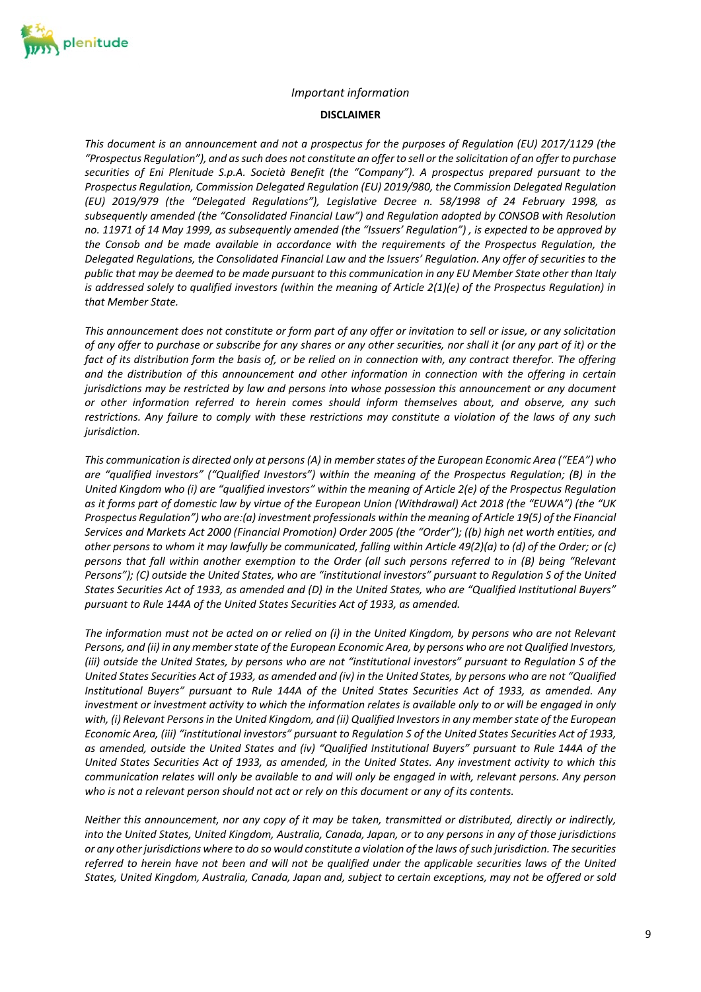

#### *Important information*

#### **DISCLAIMER**

*This document is an announcement and not a prospectus for the purposes of Regulation (EU) 2017/1129 (the "Prospectus Regulation"), and as such does not constitute an offer to sell or the solicitation of an offer to purchase securities of Eni Plenitude S.p.A. Società Benefit (the "Company"). A prospectus prepared pursuant to the Prospectus Regulation, Commission Delegated Regulation (EU) 2019/980, the Commission Delegated Regulation (EU) 2019/979 (the "Delegated Regulations"), Legislative Decree n. 58/1998 of 24 February 1998, as subsequently amended (the "Consolidated Financial Law") and Regulation adopted by CONSOB with Resolution no. 11971 of 14 May 1999, as subsequently amended (the "Issuers' Regulation") , is expected to be approved by the Consob and be made available in accordance with the requirements of the Prospectus Regulation, the Delegated Regulations, the Consolidated Financial Law and the Issuers' Regulation. Any offer of securities to the public that may be deemed to be made pursuant to this communication in any EU Member State other than Italy is addressed solely to qualified investors (within the meaning of Article 2(1)(e) of the Prospectus Regulation) in that Member State.*

*This announcement does not constitute or form part of any offer or invitation to sell or issue, or any solicitation of any offer to purchase or subscribe for any shares or any other securities, nor shall it (or any part of it) or the fact of its distribution form the basis of, or be relied on in connection with, any contract therefor. The offering and the distribution of this announcement and other information in connection with the offering in certain jurisdictions may be restricted by law and persons into whose possession this announcement or any document or other information referred to herein comes should inform themselves about, and observe, any such restrictions. Any failure to comply with these restrictions may constitute a violation of the laws of any such jurisdiction.* 

*This communication is directed only at persons (A) in member states of the European Economic Area ("EEA") who are "qualified investors" ("Qualified Investors") within the meaning of the Prospectus Regulation; (B) in the United Kingdom who (i) are "qualified investors" within the meaning of Article 2(e) of the Prospectus Regulation as it forms part of domestic law by virtue of the European Union (Withdrawal) Act 2018 (the "EUWA") (the "UK Prospectus Regulation") who are:(a) investment professionals within the meaning of Article 19(5) of the Financial Services and Markets Act 2000 (Financial Promotion) Order 2005 (the "Order"); ((b) high net worth entities, and other persons to whom it may lawfully be communicated, falling within Article 49(2)(a) to (d) of the Order; or (c) persons that fall within another exemption to the Order (all such persons referred to in (B) being "Relevant Persons"); (C) outside the United States, who are "institutional investors" pursuant to Regulation S of the United States Securities Act of 1933, as amended and (D) in the United States, who are "Qualified Institutional Buyers" pursuant to Rule 144A of the United States Securities Act of 1933, as amended.*

*The information must not be acted on or relied on (i) in the United Kingdom, by persons who are not Relevant Persons, and (ii) in any member state of the European Economic Area, by persons who are not Qualified Investors, (iii) outside the United States, by persons who are not "institutional investors" pursuant to Regulation S of the United States Securities Act of 1933, as amended and (iv) in the United States, by persons who are not "Qualified Institutional Buyers" pursuant to Rule 144A of the United States Securities Act of 1933, as amended. Any investment or investment activity to which the information relates is available only to or will be engaged in only with, (i) Relevant Persons in the United Kingdom, and (ii) Qualified Investors in any member state of the European Economic Area, (iii) "institutional investors" pursuant to Regulation S of the United States Securities Act of 1933, as amended, outside the United States and (iv) "Qualified Institutional Buyers" pursuant to Rule 144A of the United States Securities Act of 1933, as amended, in the United States. Any investment activity to which this communication relates will only be available to and will only be engaged in with, relevant persons. Any person who is not a relevant person should not act or rely on this document or any of its contents.* 

*Neither this announcement, nor any copy of it may be taken, transmitted or distributed, directly or indirectly, into the United States, United Kingdom, Australia, Canada, Japan, or to any persons in any of those jurisdictions or any other jurisdictions where to do so would constitute a violation of the laws of such jurisdiction. The securities referred to herein have not been and will not be qualified under the applicable securities laws of the United States, United Kingdom, Australia, Canada, Japan and, subject to certain exceptions, may not be offered or sold*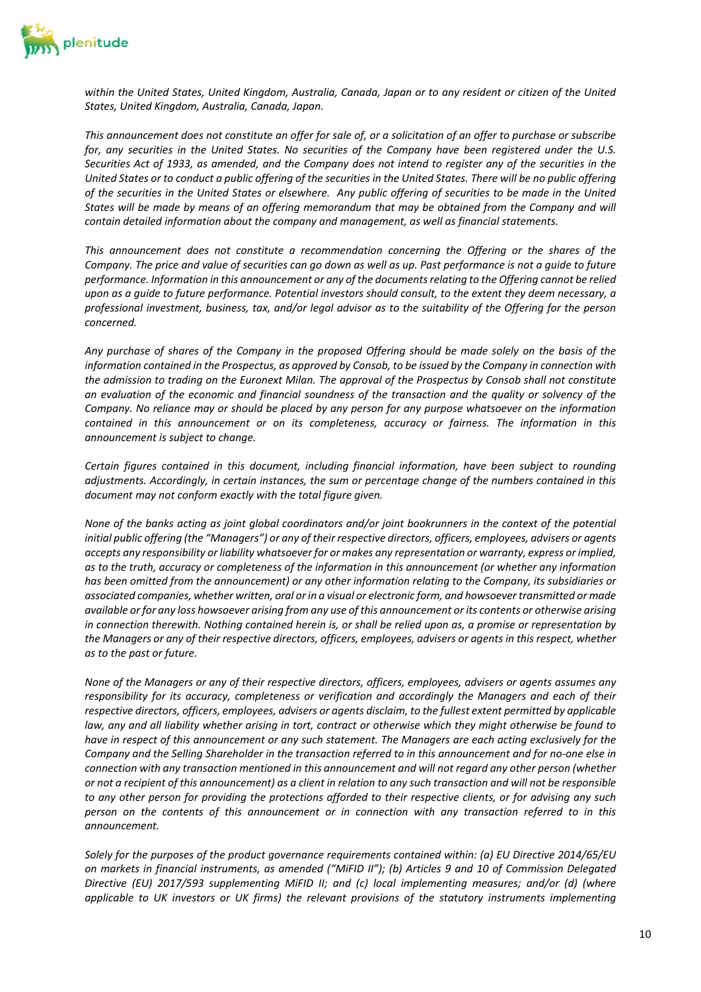

*within the United States, United Kingdom, Australia, Canada, Japan or to any resident or citizen of the United States, United Kingdom, Australia, Canada, Japan.*

*This announcement does not constitute an offer for sale of, or a solicitation of an offer to purchase or subscribe for, any securities in the United States. No securities of the Company have been registered under the U.S. Securities Act of 1933, as amended, and the Company does not intend to register any of the securities in the United States or to conduct a public offering of the securities in the United States. There will be no public offering of the securities in the United States or elsewhere. Any public offering of securities to be made in the United States will be made by means of an offering memorandum that may be obtained from the Company and will contain detailed information about the company and management, as well as financial statements.*

*This announcement does not constitute a recommendation concerning the Offering or the shares of the Company. The price and value of securities can go down as well as up. Past performance is not a guide to future performance. Information in this announcement or any of the documents relating to the Offering cannot be relied upon as a guide to future performance. Potential investors should consult, to the extent they deem necessary, a professional investment, business, tax, and/or legal advisor as to the suitability of the Offering for the person concerned.*

*Any purchase of shares of the Company in the proposed Offering should be made solely on the basis of the information contained in the Prospectus, as approved by Consob, to be issued by the Company in connection with the admission to trading on the Euronext Milan. The approval of the Prospectus by Consob shall not constitute an evaluation of the economic and financial soundness of the transaction and the quality or solvency of the Company. No reliance may or should be placed by any person for any purpose whatsoever on the information contained in this announcement or on its completeness, accuracy or fairness. The information in this announcement is subject to change.*

*Certain figures contained in this document, including financial information, have been subject to rounding adjustments. Accordingly, in certain instances, the sum or percentage change of the numbers contained in this document may not conform exactly with the total figure given.*

*None of the banks acting as joint global coordinators and/or joint bookrunners in the context of the potential initial public offering (the "Managers") or any of their respective directors, officers, employees, advisers or agents accepts any responsibility or liability whatsoever for or makes any representation or warranty, express or implied, as to the truth, accuracy or completeness of the information in this announcement (or whether any information has been omitted from the announcement) or any other information relating to the Company, its subsidiaries or associated companies, whether written, oral or in a visual or electronic form, and howsoever transmitted or made available or for any loss howsoever arising from any use of this announcement or its contents or otherwise arising in connection therewith. Nothing contained herein is, or shall be relied upon as, a promise or representation by the Managers or any of their respective directors, officers, employees, advisers or agents in this respect, whether as to the past or future.*

*None of the Managers or any of their respective directors, officers, employees, advisers or agents assumes any responsibility for its accuracy, completeness or verification and accordingly the Managers and each of their respective directors, officers, employees, advisers or agents disclaim, to the fullest extent permitted by applicable law, any and all liability whether arising in tort, contract or otherwise which they might otherwise be found to have in respect of this announcement or any such statement. The Managers are each acting exclusively for the Company and the Selling Shareholder in the transaction referred to in this announcement and for no-one else in connection with any transaction mentioned in this announcement and will not regard any other person (whether or not a recipient of this announcement) as a client in relation to any such transaction and will not be responsible to any other person for providing the protections afforded to their respective clients, or for advising any such person on the contents of this announcement or in connection with any transaction referred to in this announcement.*

*Solely for the purposes of the product governance requirements contained within: (a) EU Directive 2014/65/EU on markets in financial instruments, as amended ("MiFID II"); (b) Articles 9 and 10 of Commission Delegated Directive (EU) 2017/593 supplementing MiFID II; and (c) local implementing measures; and/or (d) (where applicable to UK investors or UK firms) the relevant provisions of the statutory instruments implementing*